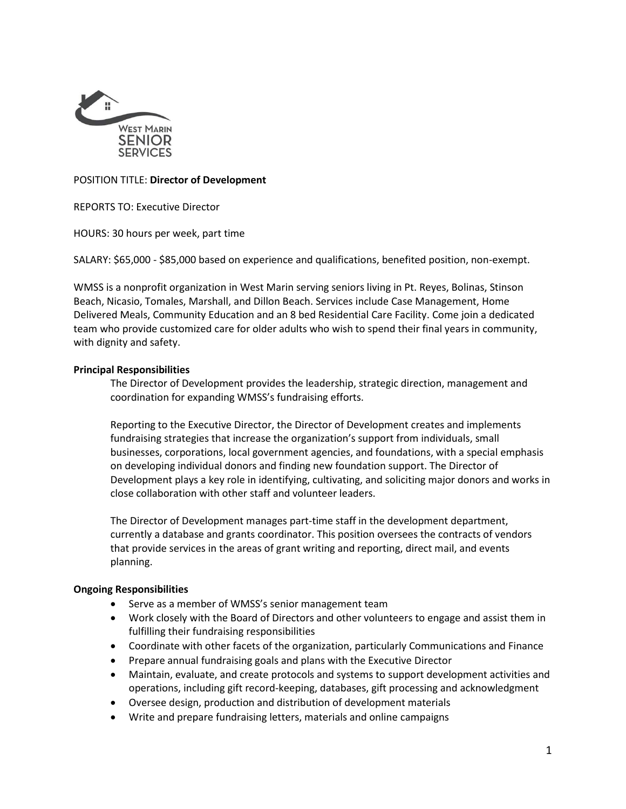

# POSITION TITLE: **Director of Development**

REPORTS TO: Executive Director

HOURS: 30 hours per week, part time

SALARY: \$65,000 - \$85,000 based on experience and qualifications, benefited position, non-exempt.

WMSS is a nonprofit organization in West Marin serving seniors living in Pt. Reyes, Bolinas, Stinson Beach, Nicasio, Tomales, Marshall, and Dillon Beach. Services include Case Management, Home Delivered Meals, Community Education and an 8 bed Residential Care Facility. Come join a dedicated team who provide customized care for older adults who wish to spend their final years in community, with dignity and safety.

# **Principal Responsibilities**

The Director of Development provides the leadership, strategic direction, management and coordination for expanding WMSS's fundraising efforts.

Reporting to the Executive Director, the Director of Development creates and implements fundraising strategies that increase the organization's support from individuals, small businesses, corporations, local government agencies, and foundations, with a special emphasis on developing individual donors and finding new foundation support. The Director of Development plays a key role in identifying, cultivating, and soliciting major donors and works in close collaboration with other staff and volunteer leaders.

The Director of Development manages part-time staff in the development department, currently a database and grants coordinator. This position oversees the contracts of vendors that provide services in the areas of grant writing and reporting, direct mail, and events planning.

# **Ongoing Responsibilities**

- Serve as a member of WMSS's senior management team
- Work closely with the Board of Directors and other volunteers to engage and assist them in fulfilling their fundraising responsibilities
- Coordinate with other facets of the organization, particularly Communications and Finance
- Prepare annual fundraising goals and plans with the Executive Director
- Maintain, evaluate, and create protocols and systems to support development activities and operations, including gift record-keeping, databases, gift processing and acknowledgment
- Oversee design, production and distribution of development materials
- Write and prepare fundraising letters, materials and online campaigns